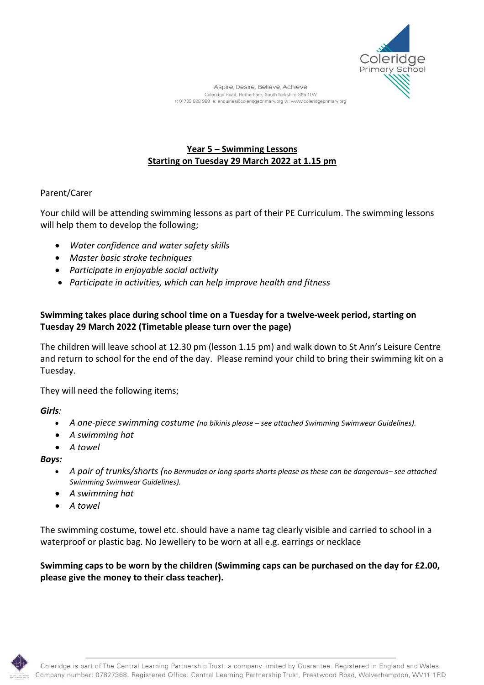

# **Year 5 – Swimming Lessons Starting on Tuesday 29 March 2022 at 1.15 pm**

#### Parent/Carer

Your child will be attending swimming lessons as part of their PE Curriculum. The swimming lessons will help them to develop the following;

- *Water confidence and water safety skills*
- *Master basic stroke techniques*
- *Participate in enjoyable social activity*
- *Participate in activities, which can help improve health and fitness*

## **Swimming takes place during school time on a Tuesday for a twelve-week period, starting on Tuesday 29 March 2022 (Timetable please turn over the page)**

The children will leave school at 12.30 pm (lesson 1.15 pm) and walk down to St Ann's Leisure Centre and return to school for the end of the day. Please remind your child to bring their swimming kit on a Tuesday.

They will need the following items;

*Girls:*

- *A one-piece swimming costume (no bikinis please – see attached Swimming Swimwear Guidelines).*
- *A swimming hat*
- *A towel*

*Boys:*

- *A pair of trunks/shorts (no Bermudas or long sports shorts please as these can be dangerous– see attached Swimming Swimwear Guidelines).*
- *A swimming hat*
- *A towel*

The swimming costume, towel etc. should have a name tag clearly visible and carried to school in a waterproof or plastic bag. No Jewellery to be worn at all e.g. earrings or necklace

**Swimming caps to be worn by the children (Swimming caps can be purchased on the day for £2.00, please give the money to their class teacher).**